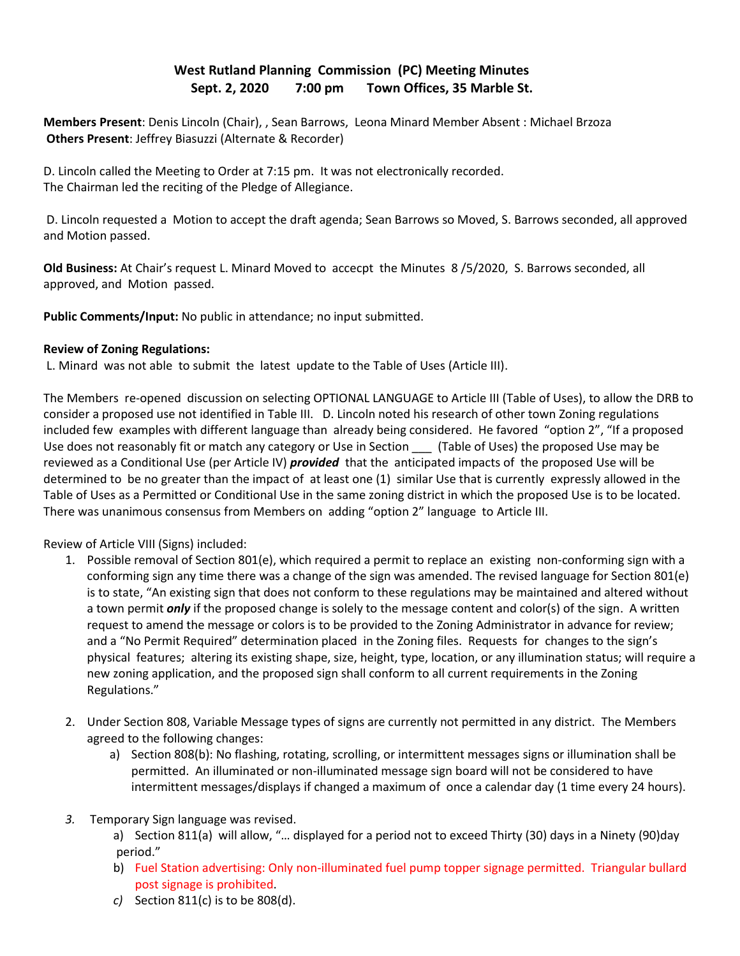## **West Rutland Planning Commission (PC) Meeting Minutes Sept. 2, 2020 7:00 pm Town Offices, 35 Marble St.**

**Members Present**: Denis Lincoln (Chair), , Sean Barrows, Leona Minard Member Absent : Michael Brzoza **Others Present**: Jeffrey Biasuzzi (Alternate & Recorder)

D. Lincoln called the Meeting to Order at 7:15 pm. It was not electronically recorded. The Chairman led the reciting of the Pledge of Allegiance.

 D. Lincoln requested a Motion to accept the draft agenda; Sean Barrows so Moved, S. Barrows seconded, all approved and Motion passed.

**Old Business:** At Chair's request L. Minard Moved to accecpt the Minutes 8 /5/2020, S. Barrows seconded, all approved, and Motion passed.

**Public Comments/Input:** No public in attendance; no input submitted.

## **Review of Zoning Regulations:**

L. Minard was not able to submit the latest update to the Table of Uses (Article III).

The Members re-opened discussion on selecting OPTIONAL LANGUAGE to Article III (Table of Uses), to allow the DRB to consider a proposed use not identified in Table III. D. Lincoln noted his research of other town Zoning regulations included few examples with different language than already being considered. He favored "option 2", "If a proposed Use does not reasonably fit or match any category or Use in Section \_\_\_ (Table of Uses) the proposed Use may be reviewed as a Conditional Use (per Article IV) *provided* that the anticipated impacts of the proposed Use will be determined to be no greater than the impact of at least one (1) similar Use that is currently expressly allowed in the Table of Uses as a Permitted or Conditional Use in the same zoning district in which the proposed Use is to be located. There was unanimous consensus from Members on adding "option 2" language to Article III.

Review of Article VIII (Signs) included:

- 1. Possible removal of Section 801(e), which required a permit to replace an existing non-conforming sign with a conforming sign any time there was a change of the sign was amended. The revised language for Section 801(e) is to state, "An existing sign that does not conform to these regulations may be maintained and altered without a town permit *only* if the proposed change is solely to the message content and color(s) of the sign. A written request to amend the message or colors is to be provided to the Zoning Administrator in advance for review; and a "No Permit Required" determination placed in the Zoning files. Requests for changes to the sign's physical features; altering its existing shape, size, height, type, location, or any illumination status; will require a new zoning application, and the proposed sign shall conform to all current requirements in the Zoning Regulations."
- 2. Under Section 808, Variable Message types of signs are currently not permitted in any district. The Members agreed to the following changes:
	- a) Section 808(b): No flashing, rotating, scrolling, or intermittent messages signs or illumination shall be permitted. An illuminated or non-illuminated message sign board will not be considered to have intermittent messages/displays if changed a maximum of once a calendar day (1 time every 24 hours).
- *3.* Temporary Sign language was revised.
	- a) Section 811(a) will allow, "… displayed for a period not to exceed Thirty (30) days in a Ninety (90)day period."
	- b) Fuel Station advertising: Only non-illuminated fuel pump topper signage permitted. Triangular bullard post signage is prohibited.
	- *c)* Section 811(c) is to be 808(d).